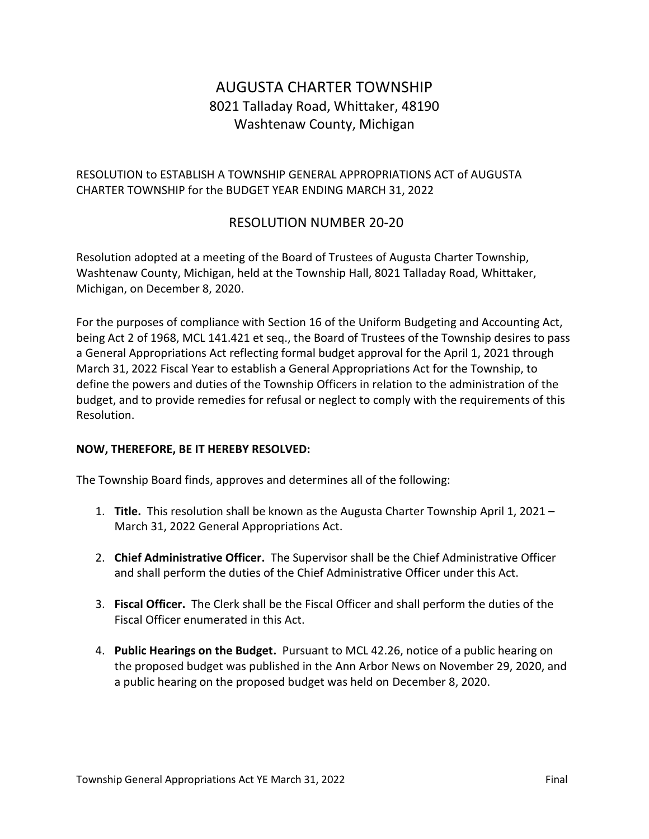# AUGUSTA CHARTER TOWNSHIP 8021 Talladay Road, Whittaker, 48190 Washtenaw County, Michigan

### RESOLUTION to ESTABLISH A TOWNSHIP GENERAL APPROPRIATIONS ACT of AUGUSTA CHARTER TOWNSHIP for the BUDGET YEAR ENDING MARCH 31, 2022

## RESOLUTION NUMBER 20-20

Resolution adopted at a meeting of the Board of Trustees of Augusta Charter Township, Washtenaw County, Michigan, held at the Township Hall, 8021 Talladay Road, Whittaker, Michigan, on December 8, 2020.

For the purposes of compliance with Section 16 of the Uniform Budgeting and Accounting Act, being Act 2 of 1968, MCL 141.421 et seq., the Board of Trustees of the Township desires to pass a General Appropriations Act reflecting formal budget approval for the April 1, 2021 through March 31, 2022 Fiscal Year to establish a General Appropriations Act for the Township, to define the powers and duties of the Township Officers in relation to the administration of the budget, and to provide remedies for refusal or neglect to comply with the requirements of this Resolution.

#### **NOW, THEREFORE, BE IT HEREBY RESOLVED:**

The Township Board finds, approves and determines all of the following:

- 1. **Title.** This resolution shall be known as the Augusta Charter Township April 1, 2021 March 31, 2022 General Appropriations Act.
- 2. **Chief Administrative Officer.** The Supervisor shall be the Chief Administrative Officer and shall perform the duties of the Chief Administrative Officer under this Act.
- 3. **Fiscal Officer.** The Clerk shall be the Fiscal Officer and shall perform the duties of the Fiscal Officer enumerated in this Act.
- 4. **Public Hearings on the Budget.** Pursuant to MCL 42.26, notice of a public hearing on the proposed budget was published in the Ann Arbor News on November 29, 2020, and a public hearing on the proposed budget was held on December 8, 2020.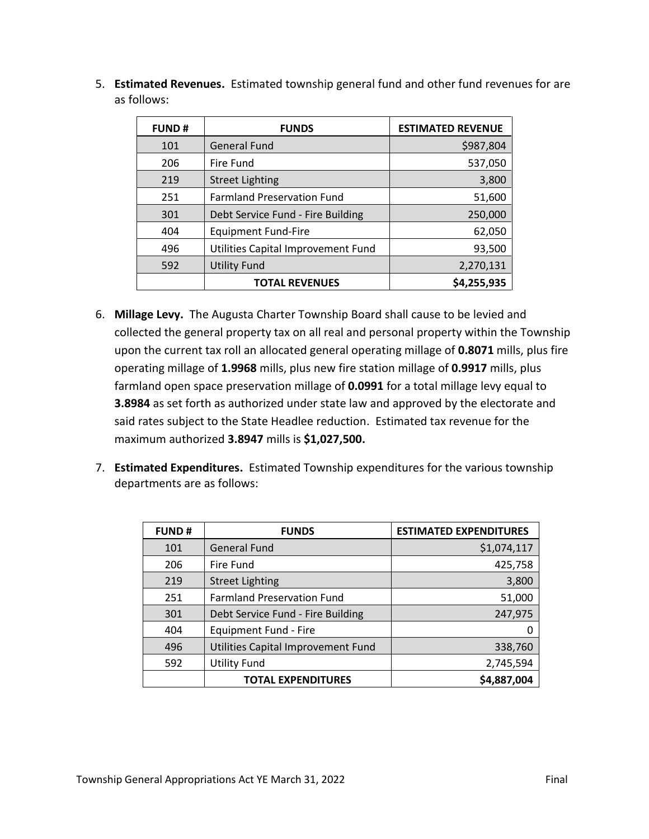5. **Estimated Revenues.** Estimated township general fund and other fund revenues for are as follows:

| <b>FUND#</b> | <b>FUNDS</b>                       | <b>ESTIMATED REVENUE</b> |
|--------------|------------------------------------|--------------------------|
| 101          | <b>General Fund</b>                | \$987,804                |
| 206          | Fire Fund                          | 537,050                  |
| 219          | <b>Street Lighting</b>             | 3,800                    |
| 251          | <b>Farmland Preservation Fund</b>  | 51,600                   |
| 301          | Debt Service Fund - Fire Building  | 250,000                  |
| 404          | <b>Equipment Fund-Fire</b>         | 62,050                   |
| 496          | Utilities Capital Improvement Fund | 93,500                   |
| 592          | <b>Utility Fund</b>                | 2,270,131                |
|              | <b>TOTAL REVENUES</b>              | \$4,255,935              |

- 6. **Millage Levy.** The Augusta Charter Township Board shall cause to be levied and collected the general property tax on all real and personal property within the Township upon the current tax roll an allocated general operating millage of **0.8071** mills, plus fire operating millage of **1.9968** mills, plus new fire station millage of **0.9917** mills, plus farmland open space preservation millage of **0.0991** for a total millage levy equal to **3.8984** as set forth as authorized under state law and approved by the electorate and said rates subject to the State Headlee reduction. Estimated tax revenue for the maximum authorized **3.8947** mills is **\$1,027,500.**
- 7. **Estimated Expenditures.** Estimated Township expenditures for the various township departments are as follows:

| <b>FUND#</b> | <b>FUNDS</b>                       | <b>ESTIMATED EXPENDITURES</b> |
|--------------|------------------------------------|-------------------------------|
| 101          | <b>General Fund</b>                | \$1,074,117                   |
| 206          | Fire Fund                          | 425,758                       |
| 219          | <b>Street Lighting</b>             | 3,800                         |
| 251          | <b>Farmland Preservation Fund</b>  | 51,000                        |
| 301          | Debt Service Fund - Fire Building  | 247,975                       |
| 404          | <b>Equipment Fund - Fire</b>       |                               |
| 496          | Utilities Capital Improvement Fund | 338,760                       |
| 592          | <b>Utility Fund</b>                | 2,745,594                     |
|              | <b>TOTAL EXPENDITURES</b>          | \$4,887,004                   |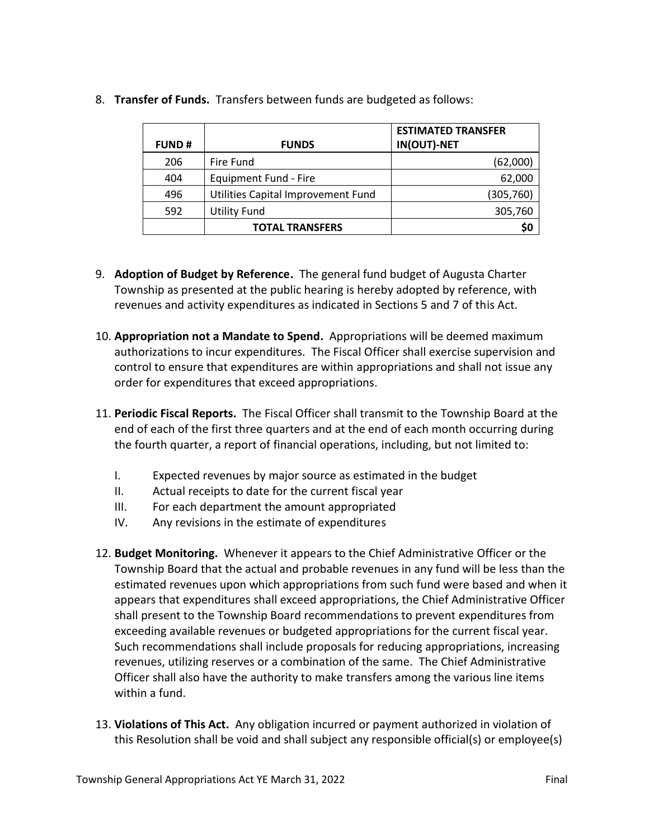| <b>FUND#</b> | <b>FUNDS</b>                       | <b>ESTIMATED TRANSFER</b><br>IN(OUT)-NET |
|--------------|------------------------------------|------------------------------------------|
| 206          | Fire Fund                          | (62,000)                                 |
| 404          | Equipment Fund - Fire              | 62,000                                   |
| 496          | Utilities Capital Improvement Fund | (305,760)                                |
| 592          | <b>Utility Fund</b>                | 305,760                                  |
|              | <b>TOTAL TRANSFERS</b>             | \$0                                      |

8. **Transfer of Funds.** Transfers between funds are budgeted as follows:

- 9. **Adoption of Budget by Reference.** The general fund budget of Augusta Charter Township as presented at the public hearing is hereby adopted by reference, with revenues and activity expenditures as indicated in Sections 5 and 7 of this Act.
- 10. **Appropriation not a Mandate to Spend.** Appropriations will be deemed maximum authorizations to incur expenditures. The Fiscal Officer shall exercise supervision and control to ensure that expenditures are within appropriations and shall not issue any order for expenditures that exceed appropriations.
- 11. **Periodic Fiscal Reports.** The Fiscal Officer shall transmit to the Township Board at the end of each of the first three quarters and at the end of each month occurring during the fourth quarter, a report of financial operations, including, but not limited to:
	- I. Expected revenues by major source as estimated in the budget
	- II. Actual receipts to date for the current fiscal year
	- III. For each department the amount appropriated
	- IV. Any revisions in the estimate of expenditures
- 12. **Budget Monitoring.** Whenever it appears to the Chief Administrative Officer or the Township Board that the actual and probable revenues in any fund will be less than the estimated revenues upon which appropriations from such fund were based and when it appears that expenditures shall exceed appropriations, the Chief Administrative Officer shall present to the Township Board recommendations to prevent expenditures from exceeding available revenues or budgeted appropriations for the current fiscal year. Such recommendations shall include proposals for reducing appropriations, increasing revenues, utilizing reserves or a combination of the same. The Chief Administrative Officer shall also have the authority to make transfers among the various line items within a fund.
- 13. **Violations of This Act.** Any obligation incurred or payment authorized in violation of this Resolution shall be void and shall subject any responsible official(s) or employee(s)